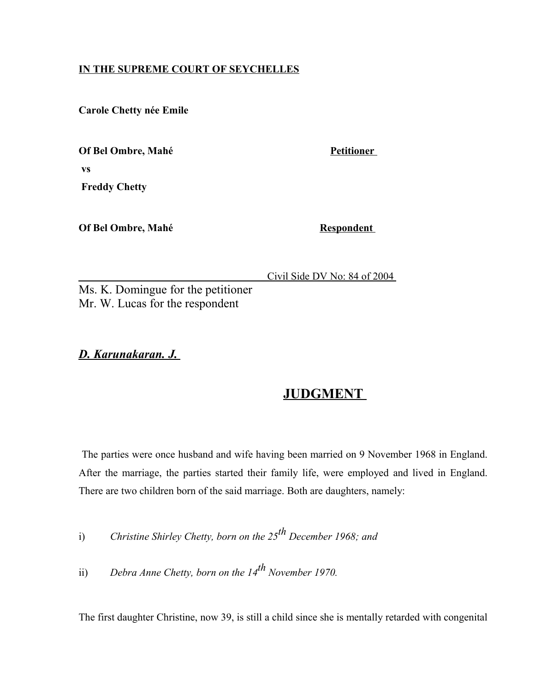# **IN THE SUPREME COURT OF SEYCHELLES**

**Carole Chetty née Emile**

**Of Bel Ombre, Mahé** Petitioner  **vs** 

 **Freddy Chetty** 

**Of Bel Ombre, Mahé** Respondent

Civil Side DV No: 84 of 2004

Ms. K. Domingue for the petitioner Mr. W. Lucas for the respondent

 *D. Karunakaran. J.*

# **JUDGMENT**

The parties were once husband and wife having been married on 9 November 1968 in England. After the marriage, the parties started their family life, were employed and lived in England. There are two children born of the said marriage. Both are daughters, namely:

i) *Christine Shirley Chetty, born on the 25th December 1968; and* 

ii) *Debra Anne Chetty, born on the 14<sup>th</sup> November 1970.* 

The first daughter Christine, now 39, is still a child since she is mentally retarded with congenital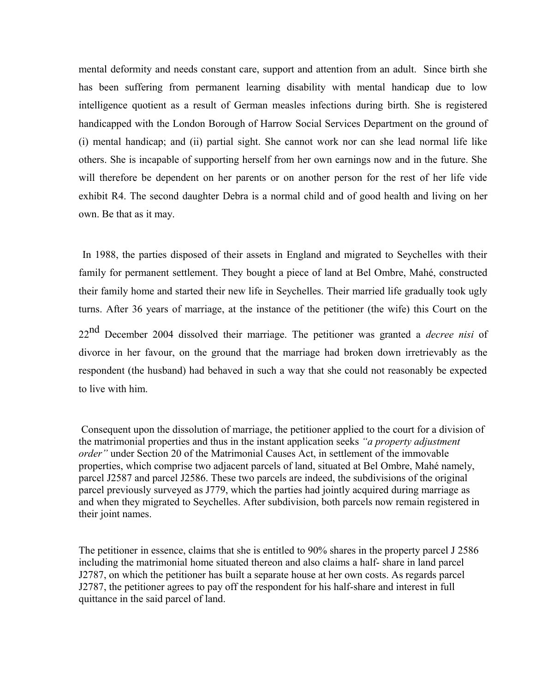mental deformity and needs constant care, support and attention from an adult. Since birth she has been suffering from permanent learning disability with mental handicap due to low intelligence quotient as a result of German measles infections during birth. She is registered handicapped with the London Borough of Harrow Social Services Department on the ground of (i) mental handicap; and (ii) partial sight. She cannot work nor can she lead normal life like others. She is incapable of supporting herself from her own earnings now and in the future. She will therefore be dependent on her parents or on another person for the rest of her life vide exhibit R4. The second daughter Debra is a normal child and of good health and living on her own. Be that as it may.

In 1988, the parties disposed of their assets in England and migrated to Seychelles with their family for permanent settlement. They bought a piece of land at Bel Ombre, Mahé, constructed their family home and started their new life in Seychelles. Their married life gradually took ugly turns. After 36 years of marriage, at the instance of the petitioner (the wife) this Court on the

22nd December 2004 dissolved their marriage. The petitioner was granted a *decree nisi* of divorce in her favour, on the ground that the marriage had broken down irretrievably as the respondent (the husband) had behaved in such a way that she could not reasonably be expected to live with him.

Consequent upon the dissolution of marriage, the petitioner applied to the court for a division of the matrimonial properties and thus in the instant application seeks *"a property adjustment order"* under Section 20 of the Matrimonial Causes Act, in settlement of the immovable properties, which comprise two adjacent parcels of land, situated at Bel Ombre, Mahé namely, parcel J2587 and parcel J2586. These two parcels are indeed, the subdivisions of the original parcel previously surveyed as J779, which the parties had jointly acquired during marriage as and when they migrated to Seychelles. After subdivision, both parcels now remain registered in their joint names.

The petitioner in essence, claims that she is entitled to 90% shares in the property parcel J 2586 including the matrimonial home situated thereon and also claims a half- share in land parcel J2787, on which the petitioner has built a separate house at her own costs. As regards parcel J2787, the petitioner agrees to pay off the respondent for his half-share and interest in full quittance in the said parcel of land.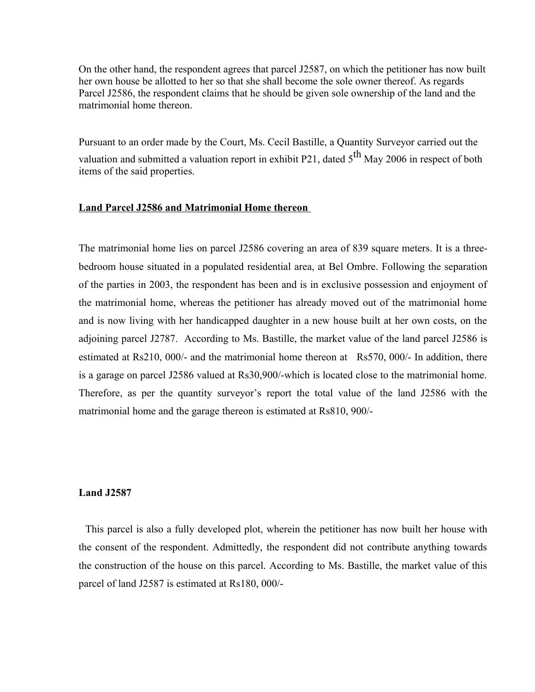On the other hand, the respondent agrees that parcel J2587, on which the petitioner has now built her own house be allotted to her so that she shall become the sole owner thereof. As regards Parcel J2586, the respondent claims that he should be given sole ownership of the land and the matrimonial home thereon.

Pursuant to an order made by the Court, Ms. Cecil Bastille, a Quantity Surveyor carried out the valuation and submitted a valuation report in exhibit P21, dated  $5<sup>th</sup>$  May 2006 in respect of both items of the said properties.

# **Land Parcel J2586 and Matrimonial Home thereon**

The matrimonial home lies on parcel J2586 covering an area of 839 square meters. It is a threebedroom house situated in a populated residential area, at Bel Ombre. Following the separation of the parties in 2003, the respondent has been and is in exclusive possession and enjoyment of the matrimonial home, whereas the petitioner has already moved out of the matrimonial home and is now living with her handicapped daughter in a new house built at her own costs, on the adjoining parcel J2787. According to Ms. Bastille, the market value of the land parcel J2586 is estimated at Rs210, 000/- and the matrimonial home thereon at Rs570, 000/- In addition, there is a garage on parcel J2586 valued at Rs30,900/-which is located close to the matrimonial home. Therefore, as per the quantity surveyor's report the total value of the land J2586 with the matrimonial home and the garage thereon is estimated at Rs810, 900/-

#### **Land J2587**

 This parcel is also a fully developed plot, wherein the petitioner has now built her house with the consent of the respondent. Admittedly, the respondent did not contribute anything towards the construction of the house on this parcel. According to Ms. Bastille, the market value of this parcel of land J2587 is estimated at Rs180, 000/-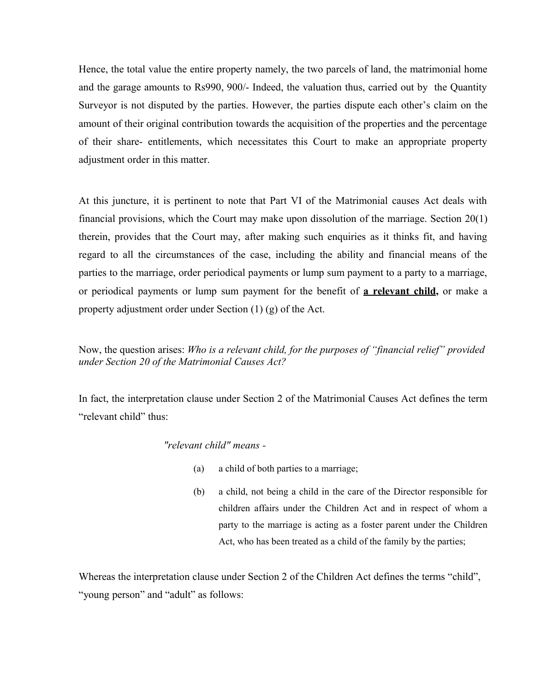Hence, the total value the entire property namely, the two parcels of land, the matrimonial home and the garage amounts to Rs990, 900/- Indeed, the valuation thus, carried out by the Quantity Surveyor is not disputed by the parties. However, the parties dispute each other's claim on the amount of their original contribution towards the acquisition of the properties and the percentage of their share- entitlements, which necessitates this Court to make an appropriate property adjustment order in this matter.

At this juncture, it is pertinent to note that Part VI of the Matrimonial causes Act deals with financial provisions, which the Court may make upon dissolution of the marriage. Section 20(1) therein, provides that the Court may, after making such enquiries as it thinks fit, and having regard to all the circumstances of the case, including the ability and financial means of the parties to the marriage, order periodical payments or lump sum payment to a party to a marriage, or periodical payments or lump sum payment for the benefit of **a relevant child,** or make a property adjustment order under Section (1) (g) of the Act.

Now, the question arises: *Who is a relevant child, for the purposes of "financial relief" provided under Section 20 of the Matrimonial Causes Act?* 

In fact, the interpretation clause under Section 2 of the Matrimonial Causes Act defines the term "relevant child" thus:

## *"relevant child" means -*

- (a) a child of both parties to a marriage;
- (b) a child, not being a child in the care of the Director responsible for children affairs under the Children Act and in respect of whom a party to the marriage is acting as a foster parent under the Children Act, who has been treated as a child of the family by the parties;

Whereas the interpretation clause under Section 2 of the Children Act defines the terms "child", "young person" and "adult" as follows: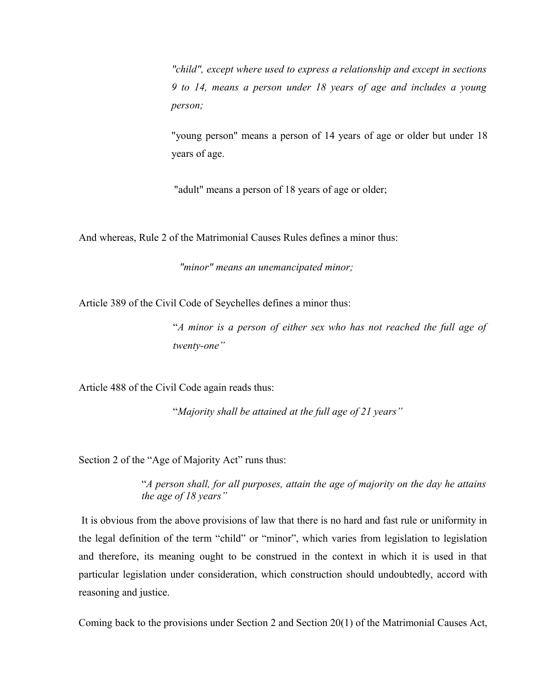*"child", except where used to express a relationship and except in sections 9 to 14, means a person under 18 years of age and includes a young person;*

"young person" means a person of 14 years of age or older but under 18 years of age.

"adult" means a person of 18 years of age or older;

And whereas, Rule 2 of the Matrimonial Causes Rules defines a minor thus:

*"minor" means an unemancipated minor;*

Article 389 of the Civil Code of Seychelles defines a minor thus:

"*A minor is a person of either sex who has not reached the full age of twenty-one"*

Article 488 of the Civil Code again reads thus:

"*Majority shall be attained at the full age of 21 years"*

Section 2 of the "Age of Majority Act" runs thus:

"*A person shall, for all purposes, attain the age of majority on the day he attains the age of 18 years"*

It is obvious from the above provisions of law that there is no hard and fast rule or uniformity in the legal definition of the term "child" or "minor", which varies from legislation to legislation and therefore, its meaning ought to be construed in the context in which it is used in that particular legislation under consideration, which construction should undoubtedly, accord with reasoning and justice.

Coming back to the provisions under Section 2 and Section 20(1) of the Matrimonial Causes Act,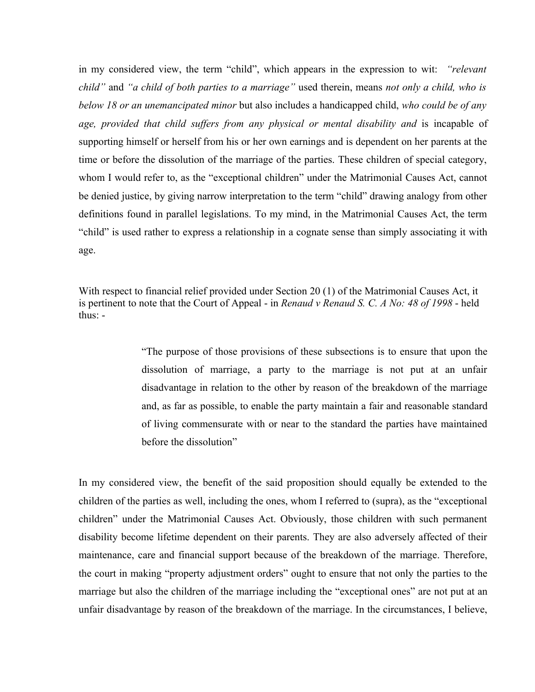in my considered view, the term "child", which appears in the expression to wit: *"relevant child"* and *"a child of both parties to a marriage"* used therein, means *not only a child, who is below 18 or an unemancipated minor* but also includes a handicapped child, *who could be of any age, provided that child suffers from any physical or mental disability and* is incapable of supporting himself or herself from his or her own earnings and is dependent on her parents at the time or before the dissolution of the marriage of the parties. These children of special category, whom I would refer to, as the "exceptional children" under the Matrimonial Causes Act, cannot be denied justice, by giving narrow interpretation to the term "child" drawing analogy from other definitions found in parallel legislations. To my mind, in the Matrimonial Causes Act, the term "child" is used rather to express a relationship in a cognate sense than simply associating it with age.

With respect to financial relief provided under Section 20 (1) of the Matrimonial Causes Act, it is pertinent to note that the Court of Appeal - in *Renaud v Renaud S. C. A No: 48 of 1998* - held thus: -

> "The purpose of those provisions of these subsections is to ensure that upon the dissolution of marriage, a party to the marriage is not put at an unfair disadvantage in relation to the other by reason of the breakdown of the marriage and, as far as possible, to enable the party maintain a fair and reasonable standard of living commensurate with or near to the standard the parties have maintained before the dissolution"

In my considered view, the benefit of the said proposition should equally be extended to the children of the parties as well, including the ones, whom I referred to (supra), as the "exceptional children" under the Matrimonial Causes Act. Obviously, those children with such permanent disability become lifetime dependent on their parents. They are also adversely affected of their maintenance, care and financial support because of the breakdown of the marriage. Therefore, the court in making "property adjustment orders" ought to ensure that not only the parties to the marriage but also the children of the marriage including the "exceptional ones" are not put at an unfair disadvantage by reason of the breakdown of the marriage. In the circumstances, I believe,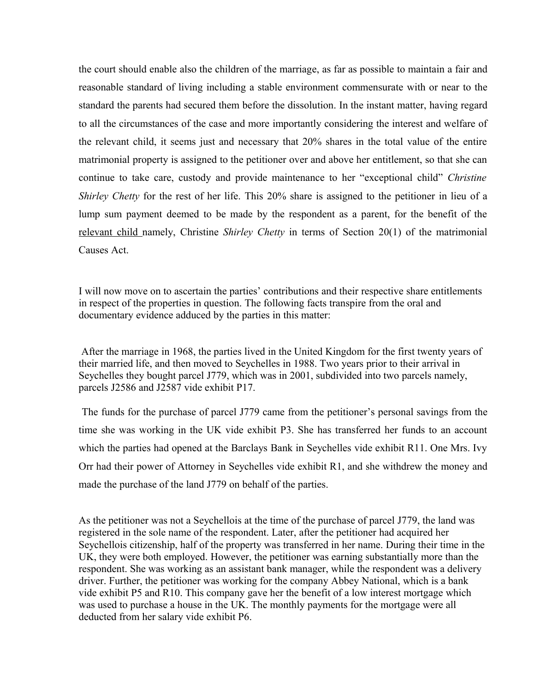the court should enable also the children of the marriage, as far as possible to maintain a fair and reasonable standard of living including a stable environment commensurate with or near to the standard the parents had secured them before the dissolution. In the instant matter, having regard to all the circumstances of the case and more importantly considering the interest and welfare of the relevant child, it seems just and necessary that 20% shares in the total value of the entire matrimonial property is assigned to the petitioner over and above her entitlement, so that she can continue to take care, custody and provide maintenance to her "exceptional child" *Christine Shirley Chetty* for the rest of her life. This 20% share is assigned to the petitioner in lieu of a lump sum payment deemed to be made by the respondent as a parent, for the benefit of the relevant child namely, Christine *Shirley Chetty* in terms of Section 20(1) of the matrimonial Causes Act.

I will now move on to ascertain the parties' contributions and their respective share entitlements in respect of the properties in question. The following facts transpire from the oral and documentary evidence adduced by the parties in this matter:

After the marriage in 1968, the parties lived in the United Kingdom for the first twenty years of their married life, and then moved to Seychelles in 1988. Two years prior to their arrival in Seychelles they bought parcel J779, which was in 2001, subdivided into two parcels namely, parcels J2586 and J2587 vide exhibit P17.

The funds for the purchase of parcel J779 came from the petitioner's personal savings from the time she was working in the UK vide exhibit P3. She has transferred her funds to an account which the parties had opened at the Barclays Bank in Seychelles vide exhibit R11. One Mrs. Ivy Orr had their power of Attorney in Seychelles vide exhibit R1, and she withdrew the money and made the purchase of the land J779 on behalf of the parties.

As the petitioner was not a Seychellois at the time of the purchase of parcel J779, the land was registered in the sole name of the respondent. Later, after the petitioner had acquired her Seychellois citizenship, half of the property was transferred in her name. During their time in the UK, they were both employed. However, the petitioner was earning substantially more than the respondent. She was working as an assistant bank manager, while the respondent was a delivery driver. Further, the petitioner was working for the company Abbey National, which is a bank vide exhibit P5 and R10. This company gave her the benefit of a low interest mortgage which was used to purchase a house in the UK. The monthly payments for the mortgage were all deducted from her salary vide exhibit P6.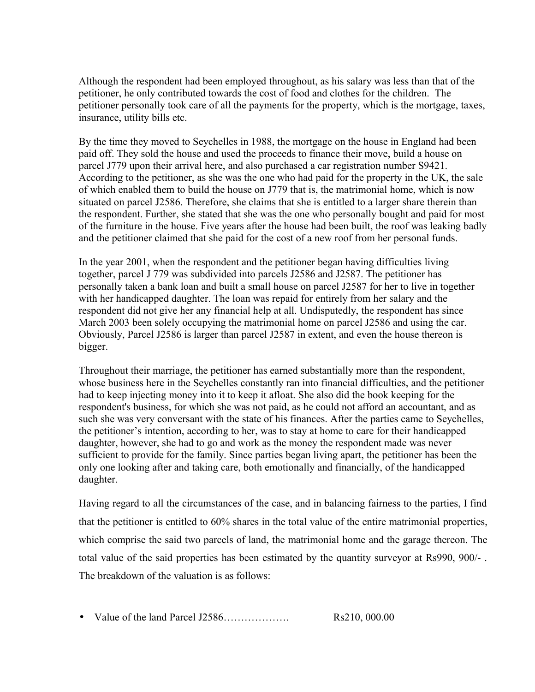Although the respondent had been employed throughout, as his salary was less than that of the petitioner, he only contributed towards the cost of food and clothes for the children. The petitioner personally took care of all the payments for the property, which is the mortgage, taxes, insurance, utility bills etc.

By the time they moved to Seychelles in 1988, the mortgage on the house in England had been paid off. They sold the house and used the proceeds to finance their move, build a house on parcel J779 upon their arrival here, and also purchased a car registration number S9421. According to the petitioner, as she was the one who had paid for the property in the UK, the sale of which enabled them to build the house on J779 that is, the matrimonial home, which is now situated on parcel J2586. Therefore, she claims that she is entitled to a larger share therein than the respondent. Further, she stated that she was the one who personally bought and paid for most of the furniture in the house. Five years after the house had been built, the roof was leaking badly and the petitioner claimed that she paid for the cost of a new roof from her personal funds.

In the year 2001, when the respondent and the petitioner began having difficulties living together, parcel J 779 was subdivided into parcels J2586 and J2587. The petitioner has personally taken a bank loan and built a small house on parcel J2587 for her to live in together with her handicapped daughter. The loan was repaid for entirely from her salary and the respondent did not give her any financial help at all. Undisputedly, the respondent has since March 2003 been solely occupying the matrimonial home on parcel J2586 and using the car. Obviously, Parcel J2586 is larger than parcel J2587 in extent, and even the house thereon is bigger.

Throughout their marriage, the petitioner has earned substantially more than the respondent, whose business here in the Seychelles constantly ran into financial difficulties, and the petitioner had to keep injecting money into it to keep it afloat. She also did the book keeping for the respondent's business, for which she was not paid, as he could not afford an accountant, and as such she was very conversant with the state of his finances. After the parties came to Seychelles, the petitioner's intention, according to her, was to stay at home to care for their handicapped daughter, however, she had to go and work as the money the respondent made was never sufficient to provide for the family. Since parties began living apart, the petitioner has been the only one looking after and taking care, both emotionally and financially, of the handicapped daughter.

Having regard to all the circumstances of the case, and in balancing fairness to the parties, I find that the petitioner is entitled to 60% shares in the total value of the entire matrimonial properties, which comprise the said two parcels of land, the matrimonial home and the garage thereon. The total value of the said properties has been estimated by the quantity surveyor at Rs990, 900/- . The breakdown of the valuation is as follows:

• Value of the land Parcel J2586………………. Rs210, 000.00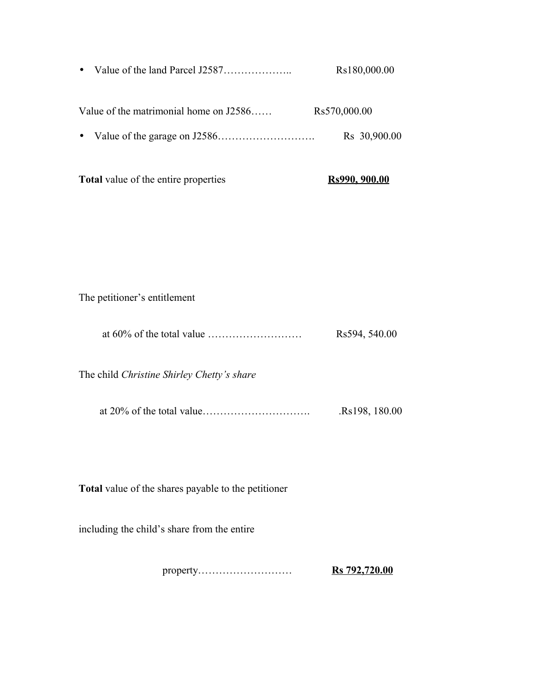• Value of the land Parcel J2587……………….. Rs180,000.00

Value of the matrimonial home on J2586…… Rs570,000.00

• Value of the garage on J2586………………………. Rs 30,900.00

| <b>Total</b> value of the entire properties | Rs990, 900.00 |
|---------------------------------------------|---------------|
|---------------------------------------------|---------------|

The petitioner's entitlement

|  | Rs594, 540.00 |
|--|---------------|
|--|---------------|

The child *Christine Shirley Chetty's share*

|  | Rs198, 180.00 |
|--|---------------|
|--|---------------|

**Total** value of the shares payable to the petitioner

including the child's share from the entire

property……………………… **Rs 792,720.00**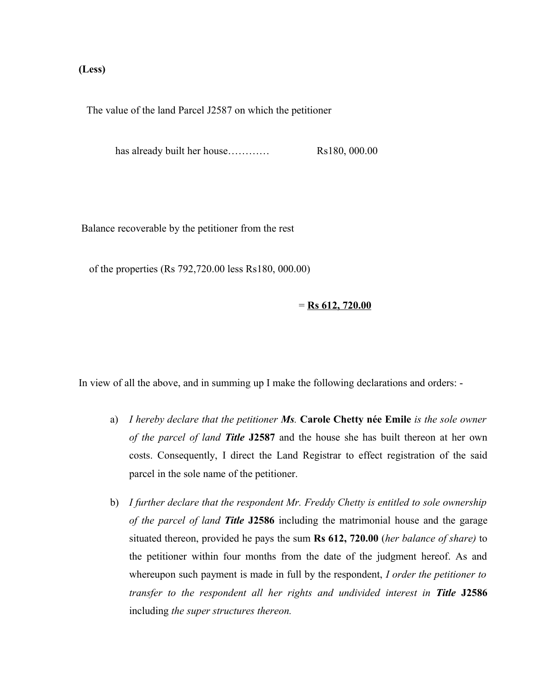## **(Less)**

The value of the land Parcel J2587 on which the petitioner

has already built her house………… Rs180, 000.00

Balance recoverable by the petitioner from the rest

of the properties (Rs 792,720.00 less Rs180, 000.00)

= **Rs 612, 720.00**

In view of all the above, and in summing up I make the following declarations and orders: -

- a) *I hereby declare that the petitioner Ms.* **Carole Chetty née Emile** *is the sole owner of the parcel of land Title* **J2587** and the house she has built thereon at her own costs. Consequently, I direct the Land Registrar to effect registration of the said parcel in the sole name of the petitioner.
- b) *I further declare that the respondent Mr. Freddy Chetty is entitled to sole ownership of the parcel of land Title* **J2586** including the matrimonial house and the garage situated thereon, provided he pays the sum **Rs 612, 720.00** (*her balance of share)* to the petitioner within four months from the date of the judgment hereof. As and whereupon such payment is made in full by the respondent, *I order the petitioner to transfer to the respondent all her rights and undivided interest in Title* **J2586** including *the super structures thereon.*